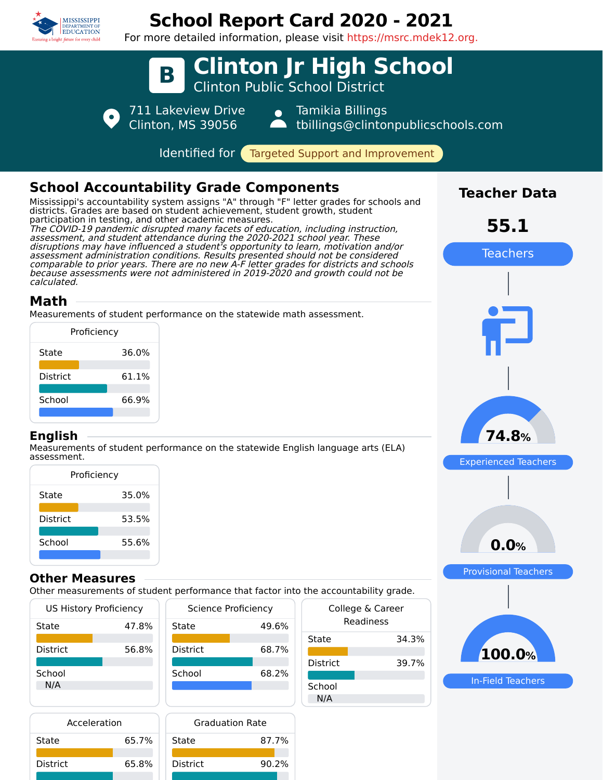

District 65.8%

District 90.2%

# **School Report Card 2020 - 2021**

For more detailed information, please visit https://msrc.mdek12.org.